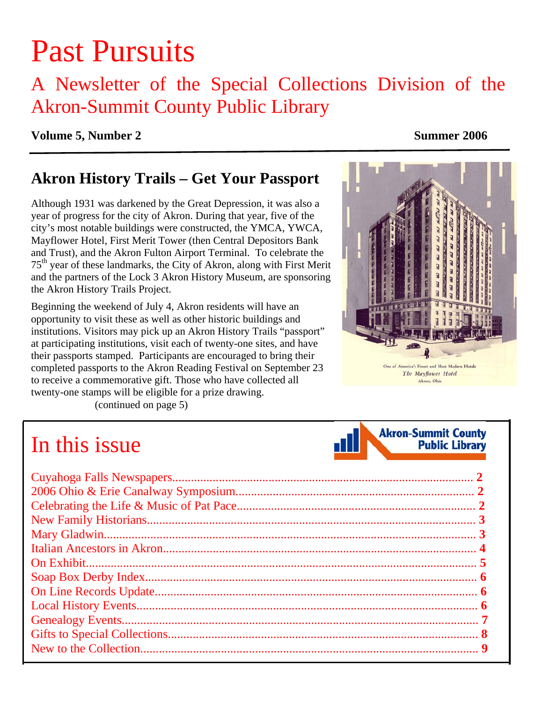# Past Pursuits

### A Newsletter of the Special Collections Division of the Akron-Summit County Public Library

#### **Volume 5, Number 2** Summer 2006

### **Akron History Trails – Get Your Passport**

Although 1931 was darkened by the Great Depression, it was also a year of progress for the city of Akron. During that year, five of the city's most notable buildings were constructed, the YMCA, YWCA, Mayflower Hotel, First Merit Tower (then Central Depositors Bank and Trust), and the Akron Fulton Airport Terminal. To celebrate the 75<sup>th</sup> year of these landmarks, the City of Akron, along with First Merit and the partners of the Lock 3 Akron History Museum, are sponsoring the Akron History Trails Project.

Beginning the weekend of July 4, Akron residents will have an opportunity to visit these as well as other historic buildings and institutions. Visitors may pick up an Akron History Trails "passport" at participating institutions, visit each of twenty-one sites, and have their passports stamped. Participants are encouraged to bring their completed passports to the Akron Reading Festival on September 23 to receive a commemorative gift. Those who have collected all twenty-one stamps will be eligible for a prize drawing. [\(continued on page 5\)](#page-4-0) 



## In this issue

| - 11 I | <b>Akron-Summit County</b><br><b>Public Library</b> |
|--------|-----------------------------------------------------|
|--------|-----------------------------------------------------|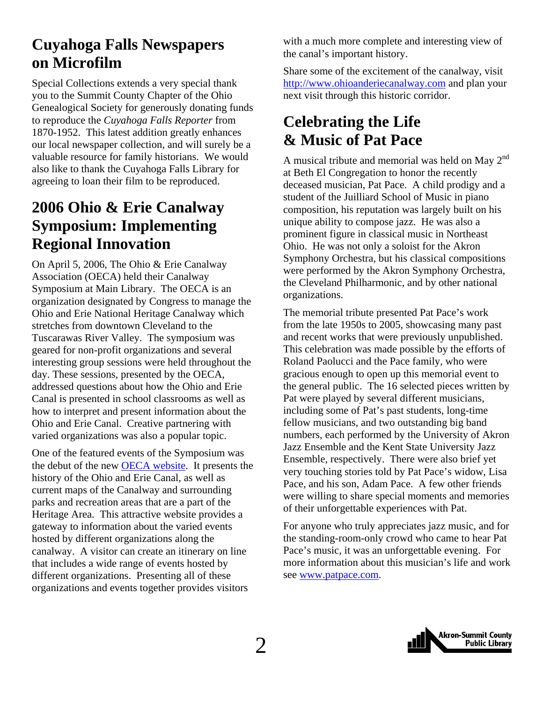### <span id="page-1-0"></span>**Cuyahoga Falls Newspapers on Microfilm**

Special Collections extends a very special thank you to the Summit County Chapter of the Ohio Genealogical Society for generously donating funds to reproduce the *Cuyahoga Falls Reporter* from 1870-1952. This latest addition greatly enhances our local newspaper collection, and will surely be a valuable resource for family historians. We would also like to thank the Cuyahoga Falls Library for agreeing to loan their film to be reproduced.

### **2006 Ohio & Erie Canalway Symposium: Implementing Regional Innovation**

On April 5, 2006, The Ohio & Erie Canalway Association (OECA) held their Canalway Symposium at Main Library. The OECA is an organization designated by Congress to manage the Ohio and Erie National Heritage Canalway which stretches from downtown Cleveland to the Tuscarawas River Valley. The symposium was geared for non-profit organizations and several interesting group sessions were held throughout the day. These sessions, presented by the OECA, addressed questions about how the Ohio and Erie Canal is presented in school classrooms as well as how to interpret and present information about the Ohio and Erie Canal. Creative partnering with varied organizations was also a popular topic.

One of the featured events of the Symposium was the debut of the new [OECA website](http://www.ohioanderiecanalway.com/). It presents the history of the Ohio and Erie Canal, as well as current maps of the Canalway and surrounding parks and recreation areas that are a part of the Heritage Area. This attractive website provides a gateway to information about the varied events hosted by different organizations along the canalway. A visitor can create an itinerary on line that includes a wide range of events hosted by different organizations. Presenting all of these organizations and events together provides visitors

with a much more complete and interesting view of the canal's important history.

Share some of the excitement of the canalway, visit [http://www.ohioanderiecanalway.com](http://www.ohioanderiecanalway.com/) and plan your next visit through this historic corridor.

### **Celebrating the Life & Music of Pat Pace**

A musical tribute and memorial was held on May  $2^{nd}$ at Beth El Congregation to honor the recently deceased musician, Pat Pace. A child prodigy and a student of the Juilliard School of Music in piano composition, his reputation was largely built on his unique ability to compose jazz. He was also a prominent figure in classical music in Northeast Ohio. He was not only a soloist for the Akron Symphony Orchestra, but his classical compositions were performed by the Akron Symphony Orchestra, the Cleveland Philharmonic, and by other national organizations.

The memorial tribute presented Pat Pace's work from the late 1950s to 2005, showcasing many past and recent works that were previously unpublished. This celebration was made possible by the efforts of Roland Paolucci and the Pace family, who were gracious enough to open up this memorial event to the general public. The 16 selected pieces written by Pat were played by several different musicians, including some of Pat's past students, long-time fellow musicians, and two outstanding big band numbers, each performed by the University of Akron Jazz Ensemble and the Kent State University Jazz Ensemble, respectively. There were also brief yet very touching stories told by Pat Pace's widow, Lisa Pace, and his son, Adam Pace. A few other friends were willing to share special moments and memories of their unforgettable experiences with Pat.

For anyone who truly appreciates jazz music, and for the standing-room-only crowd who came to hear Pat Pace's music, it was an unforgettable evening. For more information about this musician's life and work see [www.patpace.com](http://www.patpace.com/).

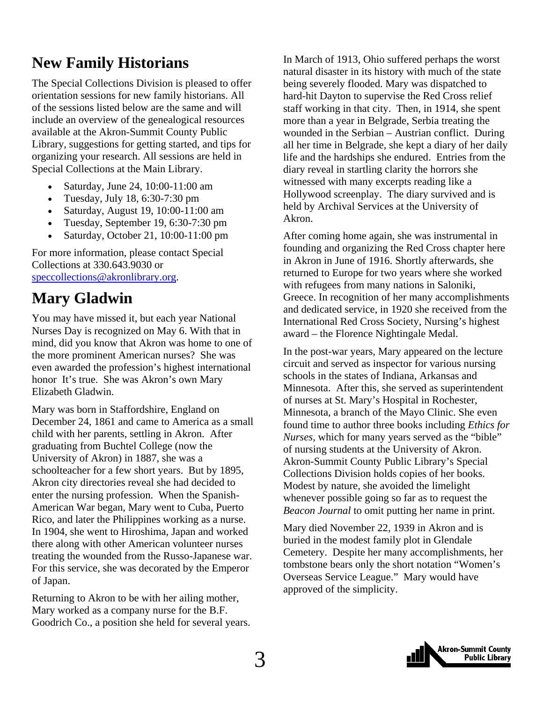### <span id="page-2-0"></span>**New Family Historians**

The Special Collections Division is pleased to offer orientation sessions for new family historians. All of the sessions listed below are the same and will include an overview of the genealogical resources available at the Akron-Summit County Public Library, suggestions for getting started, and tips for organizing your research. All sessions are held in Special Collections at the Main Library.

- Saturday, June 24, 10:00-11:00 am
- Tuesday, July 18, 6:30-7:30 pm
- Saturday, August 19, 10:00-11:00 am
- Tuesday, September 19, 6:30-7:30 pm
- Saturday, October 21, 10:00-11:00 pm

For more information, please contact Special Collections at 330.643.9030 or [speccollections@akronlibrary.org.](mailto:speccollections@akronlibrary.org)

### **Mary Gladwin**

You may have missed it, but each year National Nurses Day is recognized on May 6. With that in mind, did you know that Akron was home to one of the more prominent American nurses? She was even awarded the profession's highest international honor It's true. She was Akron's own Mary Elizabeth Gladwin.

Mary was born in Staffordshire, England on December 24, 1861 and came to America as a small child with her parents, settling in Akron. After graduating from Buchtel College (now the University of Akron) in 1887, she was a schoolteacher for a few short years. But by 1895, Akron city directories reveal she had decided to enter the nursing profession. When the Spanish-American War began, Mary went to Cuba, Puerto Rico, and later the Philippines working as a nurse. In 1904, she went to Hiroshima, Japan and worked there along with other American volunteer nurses treating the wounded from the Russo-Japanese war. For this service, she was decorated by the Emperor of Japan.

Returning to Akron to be with her ailing mother, Mary worked as a company nurse for the B.F. Goodrich Co., a position she held for several years. In March of 1913, Ohio suffered perhaps the worst natural disaster in its history with much of the state being severely flooded. Mary was dispatched to hard-hit Dayton to supervise the Red Cross relief staff working in that city. Then, in 1914, she spent more than a year in Belgrade, Serbia treating the wounded in the Serbian – Austrian conflict. During all her time in Belgrade, she kept a diary of her daily life and the hardships she endured. Entries from the diary reveal in startling clarity the horrors she witnessed with many excerpts reading like a Hollywood screenplay. The diary survived and is held by Archival Services at the University of Akron.

After coming home again, she was instrumental in founding and organizing the Red Cross chapter here in Akron in June of 1916. Shortly afterwards, she returned to Europe for two years where she worked with refugees from many nations in Saloniki, Greece. In recognition of her many accomplishments and dedicated service, in 1920 she received from the International Red Cross Society, Nursing's highest award – the Florence Nightingale Medal.

In the post-war years, Mary appeared on the lecture circuit and served as inspector for various nursing schools in the states of Indiana, Arkansas and Minnesota. After this, she served as superintendent of nurses at St. Mary's Hospital in Rochester, Minnesota, a branch of the Mayo Clinic. She even found time to author three books including *Ethics for Nurses,* which for many years served as the "bible" of nursing students at the University of Akron. Akron-Summit County Public Library's Special Collections Division holds copies of her books. Modest by nature, she avoided the limelight whenever possible going so far as to request the *Beacon Journal* to omit putting her name in print.

Mary died November 22, 1939 in Akron and is buried in the modest family plot in Glendale Cemetery. Despite her many accomplishments, her tombstone bears only the short notation "Women's Overseas Service League." Mary would have approved of the simplicity.

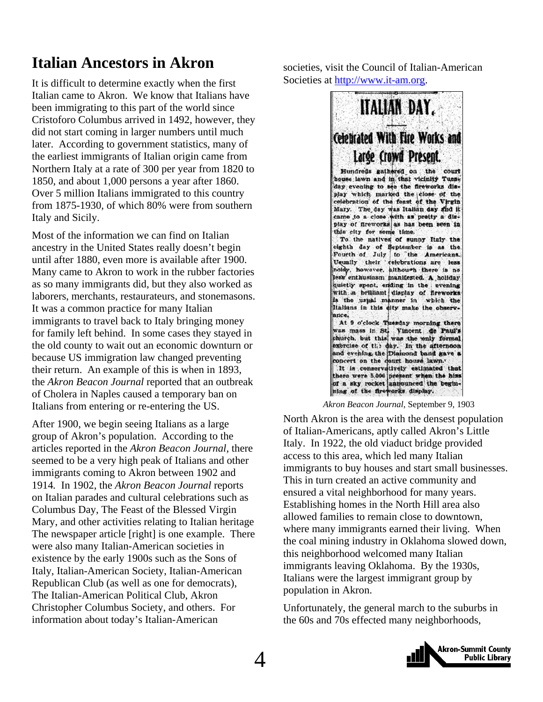### <span id="page-3-0"></span>**Italian Ancestors in Akron**

It is difficult to determine exactly when the first Italian came to Akron. We know that Italians have been immigrating to this part of the world since Cristoforo Columbus arrived in 1492, however, they did not start coming in larger numbers until much later. According to government statistics, many of the earliest immigrants of Italian origin came from Northern Italy at a rate of 300 per year from 1820 to 1850, and about 1,000 persons a year after 1860. Over 5 million Italians immigrated to this country from 1875-1930, of which 80% were from southern Italy and Sicily.

Most of the information we can find on Italian ancestry in the United States really doesn't begin until after 1880, even more is available after 1900. Many came to Akron to work in the rubber factories as so many immigrants did, but they also worked as laborers, merchants, restaurateurs, and stonemasons. It was a common practice for many Italian immigrants to travel back to Italy bringing money for family left behind. In some cases they stayed in the old county to wait out an economic downturn or because US immigration law changed preventing their return. An example of this is when in 1893, the *Akron Beacon Journal* reported that an outbreak of Cholera in Naples caused a temporary ban on Italians from entering or re-entering the US.

After 1900, we begin seeing Italians as a large group of Akron's population. According to the articles reported in the *Akron Beacon Journal*, there seemed to be a very high peak of Italians and other immigrants coming to Akron between 1902 and 1914*.* In 1902, the *Akron Beacon Journal* reports on Italian parades and cultural celebrations such as Columbus Day, The Feast of the Blessed Virgin Mary, and other activities relating to Italian heritage The newspaper article [right] is one example. There were also many Italian-American societies in existence by the early 1900s such as the Sons of Italy, Italian-American Society, Italian-American Republican Club (as well as one for democrats), The Italian-American Political Club, Akron Christopher Columbus Society, and others. For information about today's Italian-American

societies, visit the Council of Italian-American Societies at [http://www.it-am.org](http://www.it-am.org/).



*Akron Beacon Journal*, September 9, 1903

North Akron is the area with the densest population of Italian-Americans, aptly called Akron's Little Italy. In 1922, the old viaduct bridge provided access to this area, which led many Italian immigrants to buy houses and start small businesses. This in turn created an active community and ensured a vital neighborhood for many years. Establishing homes in the North Hill area also allowed families to remain close to downtown, where many immigrants earned their living. When the coal mining industry in Oklahoma slowed down, this neighborhood welcomed many Italian immigrants leaving Oklahoma. By the 1930s, Italians were the largest immigrant group by population in Akron.

Unfortunately, the general march to the suburbs in the 60s and 70s effected many neighborhoods,

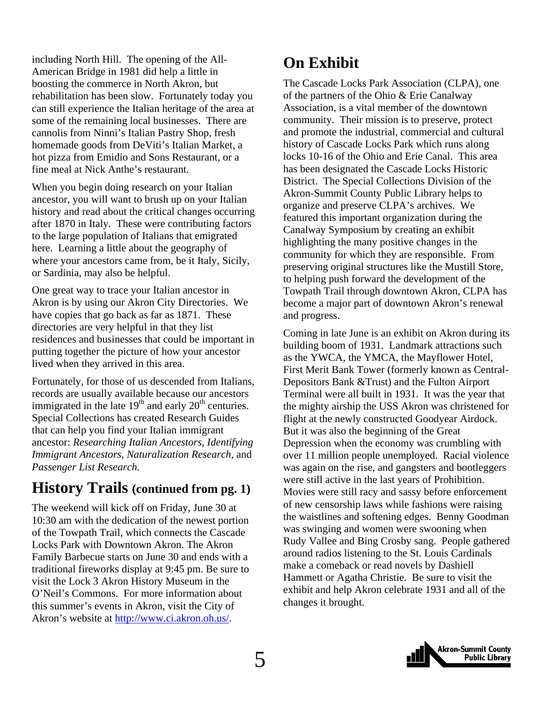<span id="page-4-0"></span>including North Hill. The opening of the All-American Bridge in 1981 did help a little in boosting the commerce in North Akron, but rehabilitation has been slow. Fortunately today you can still experience the Italian heritage of the area at some of the remaining local businesses. There are cannolis from Ninni's Italian Pastry Shop, fresh homemade goods from DeViti's Italian Market, a hot pizza from Emidio and Sons Restaurant, or a fine meal at Nick Anthe's restaurant.

When you begin doing research on your Italian ancestor, you will want to brush up on your Italian history and read about the critical changes occurring after 1870 in Italy. These were contributing factors to the large population of Italians that emigrated here. Learning a little about the geography of where your ancestors came from, be it Italy, Sicily, or Sardinia, may also be helpful.

One great way to trace your Italian ancestor in Akron is by using our Akron City Directories. We have copies that go back as far as 1871. These directories are very helpful in that they list residences and businesses that could be important in putting together the picture of how your ancestor lived when they arrived in this area.

Fortunately, for those of us descended from Italians, records are usually available because our ancestors immigrated in the late  $19<sup>th</sup>$  and early  $20<sup>th</sup>$  centuries. Special Collections has created Research Guides that can help you find your Italian immigrant ancestor: *[Researching Italian Ancestors](http://www.akronlibrary.org/internetresources/sc/pathfinders/ItalianAncestors.pdf)*, *Identifying [Immigrant Ancestors, N](http://www.akronlibrary.org/internetresources/sc/pathfinders/immigrantancestor.pdf)[aturalization Research,](http://www.akronlibrary.org/internetresources/sc/pathfinders/naturalization.pdf)* and *[Passenger List Research.](http://www.akronlibrary.org/internetresources/sc/pathfinders/PassengerList.pdf)*

### **History Trails (continued from pg. 1)**

The weekend will kick off on Friday, June 30 at 10:30 am with the dedication of the newest portion of the Towpath Trail, which connects the Cascade Locks Park with Downtown Akron. The Akron Family Barbecue starts on June 30 and ends with a traditional fireworks display at 9:45 pm. Be sure to visit the Lock 3 Akron History Museum in the O'Neil's Commons. For more information about this summer's events in Akron, visit the City of Akron's website at <http://www.ci.akron.oh.us/>.

### **On Exhibit**

The [Cascade Locks Park Association](http://www.cascadelocks.org/) (CLPA), one of the partners of the Ohio & Erie Canalway Association, is a vital member of the downtown community. Their mission is to preserve, protect and promote the industrial, commercial and cultural history of Cascade Locks Park which runs along locks 10-16 of the Ohio and Erie Canal. This area has been designated the Cascade Locks Historic District. The Special Collections Division of the Akron-Summit County Public Library helps to organize and preserve CLPA's archives. We featured this important organization during the Canalway Symposium by creating an exhibit highlighting the many positive changes in the community for which they are responsible. From preserving original structures like the Mustill Store, to helping push forward the development of the Towpath Trail through downtown Akron, CLPA has become a major part of downtown Akron's renewal and progress.

Coming in late June is an exhibit on Akron during its building boom of 1931. Landmark attractions such as the YWCA, the YMCA, the Mayflower Hotel, First Merit Bank Tower (formerly known as Central-Depositors Bank &Trust) and the Fulton Airport Terminal were all built in 1931. It was the year that the mighty airship the USS Akron was christened for flight at the newly constructed Goodyear Airdock. But it was also the beginning of the Great Depression when the economy was crumbling with over 11 million people unemployed. Racial violence was again on the rise, and gangsters and bootleggers were still active in the last years of Prohibition. Movies were still racy and sassy before enforcement of new censorship laws while fashions were raising the waistlines and softening edges. Benny Goodman was swinging and women were swooning when Rudy Vallee and Bing Crosby sang. People gathered around radios listening to the St. Louis Cardinals make a comeback or read novels by Dashiell Hammett or Agatha Christie. Be sure to visit the exhibit and help Akron celebrate 1931 and all of the changes it brought.

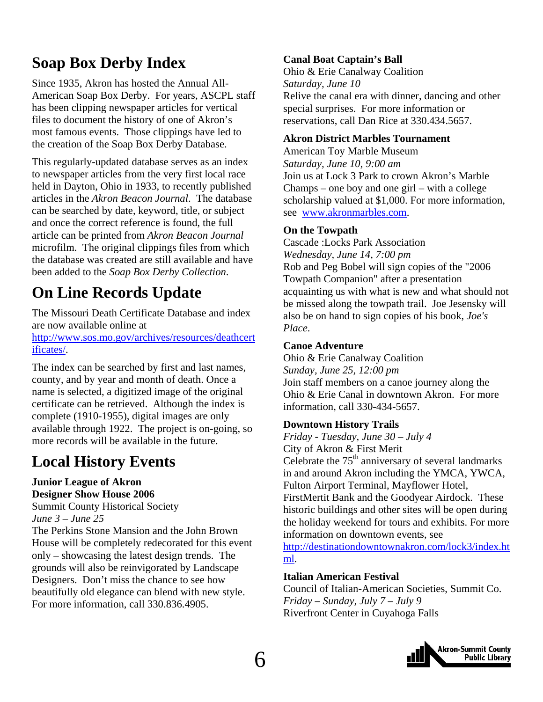### <span id="page-5-0"></span>**Soap Box Derby Index**

Since 1935, Akron has hosted the Annual All-American Soap Box Derby. For years, ASCPL staff has been clipping newspaper articles for vertical files to document the history of one of Akron's most famous events. Those clippings have led to the creation of the Soap Box Derby Database.

This regularly-updated database serves as an index to newspaper articles from the very first local race held in Dayton, Ohio in 1933, to recently published articles in the *Akron Beacon Journal*. The database can be searched by date, keyword, title, or subject and once the correct reference is found, the full article can be printed from *Akron Beacon Journal* microfilm. The original clippings files from which the database was created are still available and have been added to the *Soap Box Derby Collection*.

### **On Line Records Update**

The Missouri Death Certificate Database and index are now available online at

[http://www.sos.mo.gov/archives/resources/deathcert](http://www.sos.mo.gov/archives/resources/deathcertificates/) [ificates/.](http://www.sos.mo.gov/archives/resources/deathcertificates/)

The index can be searched by first and last names, county, and by year and month of death. Once a name is selected, a digitized image of the original certificate can be retrieved. Although the index is complete (1910-1955), digital images are only available through 1922. The project is on-going, so more records will be available in the future.

### **Local History Events**

**Junior League of Akron Designer Show House 2006** 

Summit County Historical Society *June 3 – June 25*  The Perkins Stone Mansion and the John Brown House will be completely redecorated for this event only – showcasing the latest design trends. The grounds will also be reinvigorated by Landscape Designers. Don't miss the chance to see how beautifully old elegance can blend with new style. For more information, call 330.836.4905.

#### **Canal Boat Captain's Ball**

Ohio & Erie Canalway Coalition *Saturday, June 10*  Relive the canal era with dinner, dancing and other special surprises. For more information or reservations, call Dan Rice at 330.434.5657.

#### **Akron District Marbles Tournament**

American Toy Marble Museum *Saturday, June 10, 9:00 am*  Join us at Lock 3 Park to crown Akron's Marble Champs – one boy and one girl – with a college scholarship valued at \$1,000. For more information, see [www.akronmarbles.com.](http://www.akronmarbles.com/)

#### **On the Towpath**

Cascade :Locks Park Association *Wednesday, June 14, 7:00 pm*  Rob and Peg Bobel will sign copies of the "2006 Towpath Companion" after a presentation acquainting us with what is new and what should not be missed along the towpath trail. Joe Jesensky will also be on hand to sign copies of his book, *Joe's Place*.

#### **Canoe Adventure**

Ohio & Erie Canalway Coalition *Sunday, June 25, 12:00 pm*  Join staff members on a canoe journey along the Ohio & Erie Canal in downtown Akron. For more information, call 330-434-5657.

#### **Downtown History Trails**

*Friday - Tuesday, June 30 – July 4*  City of Akron & First Merit Celebrate the  $75<sup>th</sup>$  anniversary of several landmarks in and around Akron including the YMCA, YWCA, Fulton Airport Terminal, Mayflower Hotel, FirstMertit Bank and the Goodyear Airdock. These historic buildings and other sites will be open during the holiday weekend for tours and exhibits. For more information on downtown events, see

[http://destinationdowntownakron.com/lock3/index.ht](http://destinationdowntownakron.com/lock3/index.html) [ml](http://destinationdowntownakron.com/lock3/index.html).

#### **Italian American Festival**

Council of Italian-American Societies, Summit Co. *Friday – Sunday, July 7 – July 9*  Riverfront Center in Cuyahoga Falls

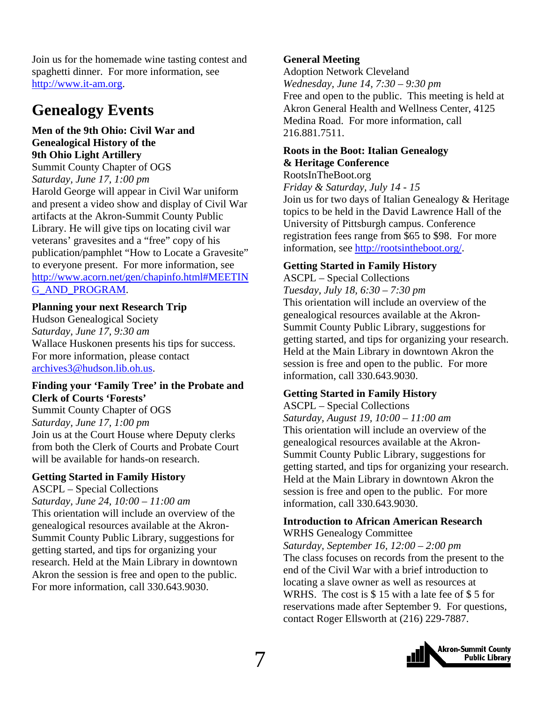<span id="page-6-0"></span>Join us for the homemade wine tasting contest and spaghetti dinner. For more information, see [http://www.it-am.org](http://www.it-am.org/).

### **Genealogy Events**

#### **Men of the 9th Ohio: Civil War and Genealogical History of the 9th Ohio Light Artillery**

Summit County Chapter of OGS *Saturday, June 17, 1:00 pm*  Harold George will appear in Civil War uniform and present a video show and display of Civil War artifacts at the Akron-Summit County Public Library. He will give tips on locating civil war veterans' gravesites and a "free" copy of his publication/pamphlet "How to Locate a Gravesite" to everyone present. For more information, see [http://www.acorn.net/gen/chapinfo.html#MEETIN](http://www.acorn.net/gen/chapinfo.html#MEETING_AND_PROGRAM) [G\\_AND\\_PROGRAM.](http://www.acorn.net/gen/chapinfo.html#MEETING_AND_PROGRAM)

#### **Planning your next Research Trip**

Hudson Genealogical Society *Saturday, June 17, 9:30 am*  Wallace Huskonen presents his tips for success. For more information, please contact [archives3@hudson.lib.oh.us](mailto:archives3@hudson.lib.oh.us).

#### **Finding your 'Family Tree' in the Probate and Clerk of Courts 'Forests'**

Summit County Chapter of OGS *Saturday, June 17, 1:00 pm*  Join us at the Court House where Deputy clerks from both the Clerk of Courts and Probate Court will be available for hands-on research.

#### **Getting Started in Family History**

ASCPL – Special Collections *Saturday, June 24, 10:00 – 11:00 am*  This orientation will include an overview of the genealogical resources available at the Akron-Summit County Public Library, suggestions for getting started, and tips for organizing your research. Held at the Main Library in downtown Akron the session is free and open to the public. For more information, call 330.643.9030.

#### **General Meeting**

Adoption Network Cleveland *Wednesday, June 14, 7:30 – 9:30 pm*  Free and open to the public. This meeting is held at Akron General Health and Wellness Center, 4125 Medina Road. For more information, call 216.881.7511.

#### **Roots in the Boot: Italian Genealogy & Heritage Conference**

RootsInTheBoot.org

*Friday & Saturday, July 14 - 15*  Join us for two days of Italian Genealogy & Heritage topics to be held in the David Lawrence Hall of the University of Pittsburgh campus. Conference registration fees range from \$65 to \$98. For more information, see [http://rootsintheboot.org/.](http://rootsintheboot.org/)

#### **Getting Started in Family History**

ASCPL – Special Collections *Tuesday, July 18, 6:30 – 7:30 pm*  This orientation will include an overview of the genealogical resources available at the Akron-Summit County Public Library, suggestions for getting started, and tips for organizing your research. Held at the Main Library in downtown Akron the session is free and open to the public. For more information, call 330.643.9030.

#### **Getting Started in Family History**

ASCPL – Special Collections *Saturday, August 19, 10:00 – 11:00 am*  This orientation will include an overview of the genealogical resources available at the Akron-Summit County Public Library, suggestions for getting started, and tips for organizing your research. Held at the Main Library in downtown Akron the session is free and open to the public. For more information, call 330.643.9030.

#### **Introduction to African American Research**  WRHS Genealogy Committee

*Saturday, September 16, 12:00 – 2:00 pm*  The class focuses on records from the present to the end of the Civil War with a brief introduction to locating a slave owner as well as resources at WRHS. The cost is \$ 15 with a late fee of \$ 5 for reservations made after September 9. For questions, contact Roger Ellsworth at (216) 229-7887.

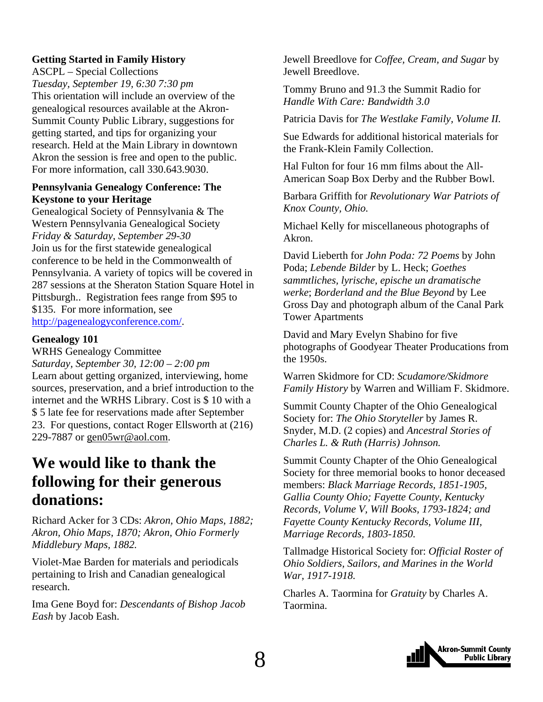#### <span id="page-7-0"></span>**Getting Started in Family History**

ASCPL – Special Collections *Tuesday, September 19, 6:30 7:30 pm*  This orientation will include an overview of the genealogical resources available at the Akron-Summit County Public Library, suggestions for getting started, and tips for organizing your research. Held at the Main Library in downtown Akron the session is free and open to the public. For more information, call 330.643.9030.

#### **Pennsylvania Genealogy Conference: The Keystone to your Heritage**

Genealogical Society of Pennsylvania & The Western Pennsylvania Genealogical Society *Friday & Saturday, September 29-30*  Join us for the first statewide genealogical conference to be held in the Commonwealth of Pennsylvania. A variety of topics will be covered in 287 sessions at the Sheraton Station Square Hotel in Pittsburgh.. Registration fees range from \$95 to \$135. For more information, see [http://pagenealogyconference.com/.](http://pagenealogyconference.com/)

#### **Genealogy 101**

WRHS Genealogy Committee *Saturday, September 30, 12:00 – 2:00 pm*  Learn about getting organized, interviewing, home sources, preservation, and a brief introduction to the internet and the WRHS Library. Cost is \$ 10 with a \$ 5 late fee for reservations made after September 23. For questions, contact Roger Ellsworth at (216) 229-7887 or [gen05wr@aol.com](mailto:gen05wr@aol.com).

### **We would like to thank the following for their generous donations:**

Richard Acker for 3 CDs: *Akron, Ohio Maps, 1882; Akron, Ohio Maps, 1870; Akron, Ohio Formerly Middlebury Maps, 1882.* 

Violet-Mae Barden for materials and periodicals pertaining to Irish and Canadian genealogical research.

Ima Gene Boyd for: *Descendants of Bishop Jacob Eash* by Jacob Eash.

Jewell Breedlove for *Coffee, Cream, and Sugar* by Jewell Breedlove.

Tommy Bruno and 91.3 the Summit Radio for *Handle With Care: Bandwidth 3.0* 

Patricia Davis for *The Westlake Family, Volume II.* 

Sue Edwards for additional historical materials for the Frank-Klein Family Collection.

Hal Fulton for four 16 mm films about the All-American Soap Box Derby and the Rubber Bowl.

Barbara Griffith for *Revolutionary War Patriots of Knox County, Ohio.* 

Michael Kelly for miscellaneous photographs of Akron.

David Lieberth for *John Poda: 72 Poems* by John Poda; *Lebende Bilder* by L. Heck; *Goethes sammtliches, lyrische, epische un dramatische werke*; *Borderland and the Blue Beyond* by Lee Gross Day and photograph album of the Canal Park Tower Apartments

David and Mary Evelyn Shabino for five photographs of Goodyear Theater Producations from the 1950s.

Warren Skidmore for CD: *Scudamore/Skidmore Family History* by Warren and William F. Skidmore.

Summit County Chapter of the Ohio Genealogical Society for: *The Ohio Storyteller* by James R. Snyder, M.D. (2 copies) and *Ancestral Stories of Charles L. & Ruth (Harris) Johnson.* 

Summit County Chapter of the Ohio Genealogical Society for three memorial books to honor deceased members: *Black Marriage Records, 1851-1905, Gallia County Ohio; Fayette County, Kentucky Records, Volume V, Will Books, 1793-1824; and Fayette County Kentucky Records, Volume III, Marriage Records, 1803-1850.* 

Tallmadge Historical Society for: *Official Roster of Ohio Soldiers, Sailors, and Marines in the World War, 1917-1918.* 

Charles A. Taormina for *Gratuity* by Charles A. Taormina.

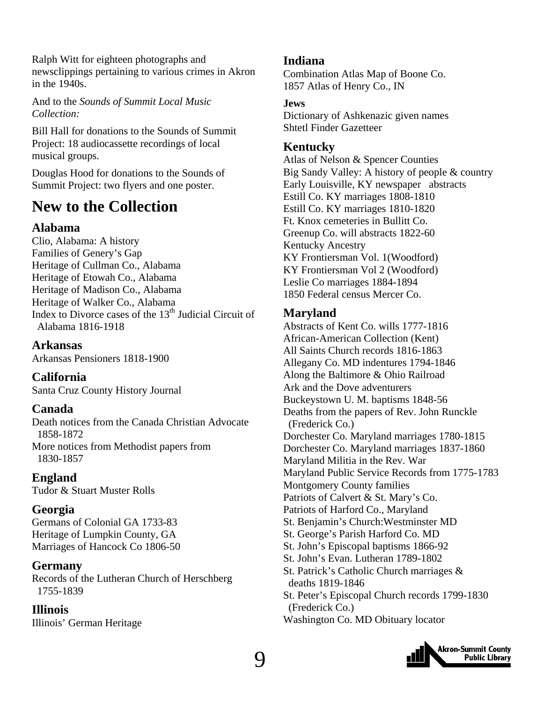<span id="page-8-0"></span>Ralph Witt for eighteen photographs and newsclippings pertaining to various crimes in Akron in the 1940s.

And to the *Sounds of Summit Local Music Collection:* 

Bill Hall for donations to the Sounds of Summit Project: 18 audiocassette recordings of local musical groups.

Douglas Hood for donations to the Sounds of Summit Project: two flyers and one poster.

### **New to the Collection**

#### **Alabama**

Clio, Alabama: A history Families of Genery's Gap Heritage of Cullman Co., Alabama Heritage of Etowah Co., Alabama Heritage of Madison Co., Alabama Heritage of Walker Co., Alabama Index to Divorce cases of the  $13<sup>th</sup>$  Judicial Circuit of Alabama 1816-1918

**Arkansas** 

Arkansas Pensioners 1818-1900

**California**  Santa Cruz County History Journal

#### **Canada**

Death notices from the Canada Christian Advocate 1858-1872 More notices from Methodist papers from 1830-1857

**England** 

Tudor & Stuart Muster Rolls

#### **Georgia**

Germans of Colonial GA 1733-83 Heritage of Lumpkin County, GA Marriages of Hancock Co 1806-50

#### **Germany**

Records of the Lutheran Church of Herschberg 1755-1839

#### **Illinois**

Illinois' German Heritage

#### **Indiana**

Combination Atlas Map of Boone Co. 1857 Atlas of Henry Co., IN

#### **Jews**

Dictionary of Ashkenazic given names Shtetl Finder Gazetteer

#### **Kentucky**

Atlas of Nelson & Spencer Counties Big Sandy Valley: A history of people & country Early Louisville, KY newspaper abstracts Estill Co. KY marriages 1808-1810 Estill Co. KY marriages 1810-1820 Ft. Knox cemeteries in Bullitt Co. Greenup Co. will abstracts 1822-60 Kentucky Ancestry KY Frontiersman Vol. 1(Woodford) KY Frontiersman Vol 2 (Woodford) Leslie Co marriages 1884-1894 1850 Federal census Mercer Co.

### **Maryland**

Abstracts of Kent Co. wills 1777-1816 African-American Collection (Kent) All Saints Church records 1816-1863 Allegany Co. MD indentures 1794-1846 Along the Baltimore & Ohio Railroad Ark and the Dove adventurers Buckeystown U. M. baptisms 1848-56 Deaths from the papers of Rev. John Runckle (Frederick Co.) Dorchester Co. Maryland marriages 1780-1815 Dorchester Co. Maryland marriages 1837-1860 Maryland Militia in the Rev. War Maryland Public Service Records from 1775-1783 Montgomery County families Patriots of Calvert & St. Mary's Co. Patriots of Harford Co., Maryland St. Benjamin's Church:Westminster MD St. George's Parish Harford Co. MD St. John's Episcopal baptisms 1866-92 St. John's Evan. Lutheran 1789-1802 St. Patrick's Catholic Church marriages & deaths 1819-1846 St. Peter's Episcopal Church records 1799-1830 (Frederick Co.) Washington Co. MD Obituary locator

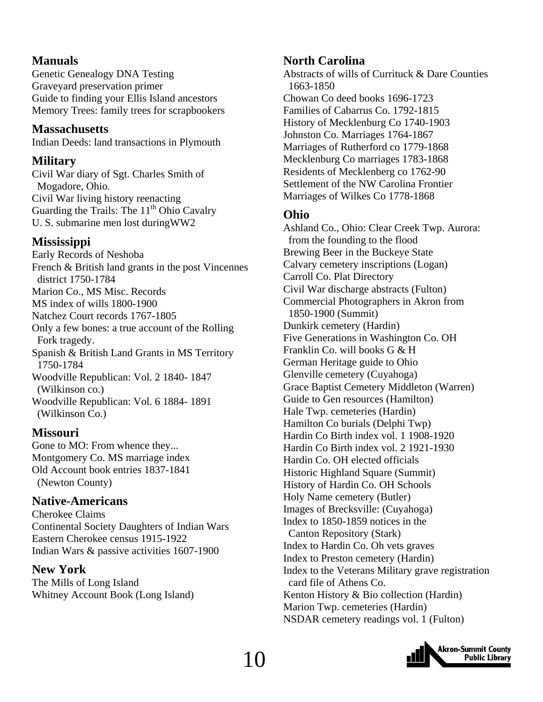#### **Manuals**

Genetic Genealogy DNA Testing Graveyard preservation primer Guide to finding your Ellis Island ancestors Memory Trees: family trees for scrapbookers

#### **Massachusetts**

Indian Deeds: land transactions in Plymouth

#### **Military**

Civil War diary of Sgt. Charles Smith of Mogadore, Ohio. Civil War living history reenacting Guarding the Trails: The  $11<sup>th</sup>$  Ohio Cavalry U. S. submarine men lost duringWW2

#### **Mississippi**

Early Records of Neshoba French & British land grants in the post Vincennes district 1750-1784 Marion Co., MS Misc. Records MS index of wills 1800-1900 Natchez Court records 1767-1805 Only a few bones: a true account of the Rolling Fork tragedy. Spanish & British Land Grants in MS Territory 1750-1784 Woodville Republican: Vol. 2 1840- 1847 (Wilkinson co.) Woodville Republican: Vol. 6 1884- 1891 (Wilkinson Co.)

#### **Missouri**

Gone to MO: From whence they... Montgomery Co. MS marriage index Old Account book entries 1837-1841 (Newton County)

#### **Native-Americans**

Cherokee Claims Continental Society Daughters of Indian Wars Eastern Cherokee census 1915-1922 Indian Wars & passive activities 1607-1900

#### **New York**

The Mills of Long Island Whitney Account Book (Long Island)

#### **North Carolina**

Abstracts of wills of Currituck & Dare Counties 1663-1850 Chowan Co deed books 1696-1723 Families of Cabarrus Co. 1792-1815 History of Mecklenburg Co 1740-1903 Johnston Co. Marriages 1764-1867 Marriages of Rutherford co 1779-1868 Mecklenburg Co marriages 1783-1868 Residents of Mecklenberg co 1762-90 Settlement of the NW Carolina Frontier Marriages of Wilkes Co 1778-1868

#### **Ohio**

Ashland Co., Ohio: Clear Creek Twp. Aurora: from the founding to the flood Brewing Beer in the Buckeye State Calvary cemetery inscriptions (Logan) Carroll Co. Plat Directory Civil War discharge abstracts (Fulton) Commercial Photographers in Akron from 1850-1900 (Summit) Dunkirk cemetery (Hardin) Five Generations in Washington Co. OH Franklin Co. will books G & H German Heritage guide to Ohio Glenville cemetery (Cuyahoga) Grace Baptist Cemetery Middleton (Warren) Guide to Gen resources (Hamilton) Hale Twp. cemeteries (Hardin) Hamilton Co burials (Delphi Twp) Hardin Co Birth index vol. 1 1908-1920 Hardin Co Birth index vol. 2 1921-1930 Hardin Co. OH elected officials Historic Highland Square (Summit) History of Hardin Co. OH Schools Holy Name cemetery (Butler) Images of Brecksville: (Cuyahoga) Index to 1850-1859 notices in the Canton Repository (Stark) Index to Hardin Co. Oh vets graves Index to Preston cemetery (Hardin) Index to the Veterans Military grave registration card file of Athens Co. Kenton History & Bio collection (Hardin) Marion Twp. cemeteries (Hardin) NSDAR cemetery readings vol. 1 (Fulton)

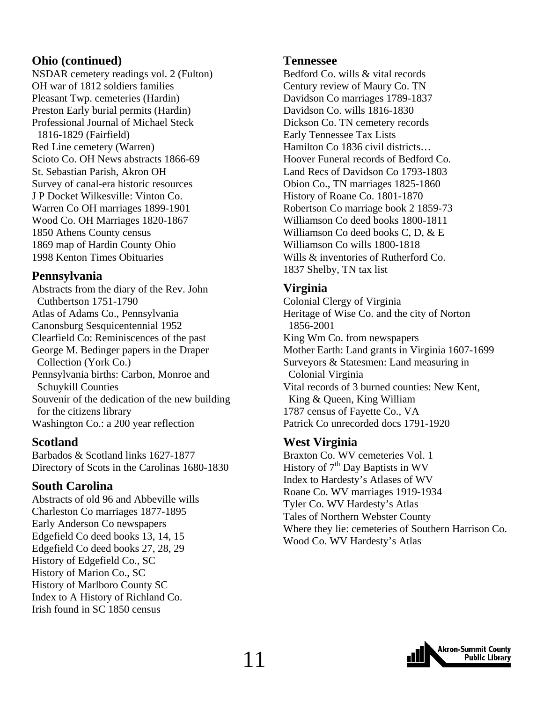#### **Ohio (continued)**

NSDAR cemetery readings vol. 2 (Fulton) OH war of 1812 soldiers families Pleasant Twp. cemeteries (Hardin) Preston Early burial permits (Hardin) Professional Journal of Michael Steck 1816-1829 (Fairfield) Red Line cemetery (Warren) Scioto Co. OH News abstracts 1866-69 St. Sebastian Parish, Akron OH Survey of canal-era historic resources J P Docket Wilkesville: Vinton Co. Warren Co OH marriages 1899-1901 Wood Co. OH Marriages 1820-1867 1850 Athens County census 1869 map of Hardin County Ohio 1998 Kenton Times Obituaries

#### **Pennsylvania**

Abstracts from the diary of the Rev. John Cuthbertson 1751-1790 Atlas of Adams Co., Pennsylvania Canonsburg Sesquicentennial 1952 Clearfield Co: Reminiscences of the past George M. Bedinger papers in the Draper Collection (York Co.) Pennsylvania births: Carbon, Monroe and Schuykill Counties Souvenir of the dedication of the new building for the citizens library Washington Co.: a 200 year reflection

#### **Scotland**

Barbados & Scotland links 1627-1877 Directory of Scots in the Carolinas 1680-1830

#### **South Carolina**

Abstracts of old 96 and Abbeville wills Charleston Co marriages 1877-1895 Early Anderson Co newspapers Edgefield Co deed books 13, 14, 15 Edgefield Co deed books 27, 28, 29 History of Edgefield Co., SC History of Marion Co., SC History of Marlboro County SC Index to A History of Richland Co. Irish found in SC 1850 census

#### **Tennessee**

Bedford Co. wills & vital records Century review of Maury Co. TN Davidson Co marriages 1789-1837 Davidson Co. wills 1816-1830 Dickson Co. TN cemetery records Early Tennessee Tax Lists Hamilton Co 1836 civil districts… Hoover Funeral records of Bedford Co. Land Recs of Davidson Co 1793-1803 Obion Co., TN marriages 1825-1860 History of Roane Co. 1801-1870 Robertson Co marriage book 2 1859-73 Williamson Co deed books 1800-1811 Williamson Co deed books C, D, & E Williamson Co wills 1800-1818 Wills & inventories of Rutherford Co. 1837 Shelby, TN tax list

#### **Virginia**

Colonial Clergy of Virginia Heritage of Wise Co. and the city of Norton 1856-2001 King Wm Co. from newspapers Mother Earth: Land grants in Virginia 1607-1699 Surveyors & Statesmen: Land measuring in Colonial Virginia Vital records of 3 burned counties: New Kent, King & Queen, King William 1787 census of Fayette Co., VA Patrick Co unrecorded docs 1791-1920

#### **West Virginia**

Braxton Co. WV cemeteries Vol. 1 History of  $7<sup>th</sup>$  Day Baptists in WV Index to Hardesty's Atlases of WV Roane Co. WV marriages 1919-1934 Tyler Co. WV Hardesty's Atlas Tales of Northern Webster County Where they lie: cemeteries of Southern Harrison Co. Wood Co. WV Hardesty's Atlas